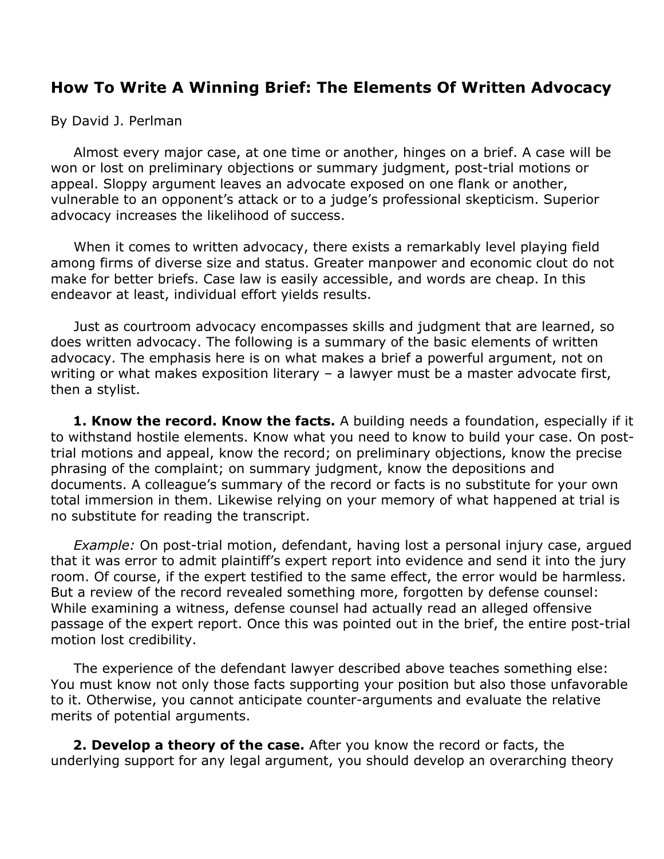## **How To Write A Winning Brief: The Elements Of Written Advocacy**

By David J. Perlman

 Almost every major case, at one time or another, hinges on a brief. A case will be won or lost on preliminary objections or summary judgment, post-trial motions or appeal. Sloppy argument leaves an advocate exposed on one flank or another, vulnerable to an opponent's attack or to a judge's professional skepticism. Superior advocacy increases the likelihood of success.

 When it comes to written advocacy, there exists a remarkably level playing field among firms of diverse size and status. Greater manpower and economic clout do not make for better briefs. Case law is easily accessible, and words are cheap. In this endeavor at least, individual effort yields results.

 Just as courtroom advocacy encompasses skills and judgment that are learned, so does written advocacy. The following is a summary of the basic elements of written advocacy. The emphasis here is on what makes a brief a powerful argument, not on writing or what makes exposition literary – a lawyer must be a master advocate first, then a stylist.

 **1. Know the record. Know the facts.** A building needs a foundation, especially if it to withstand hostile elements. Know what you need to know to build your case. On posttrial motions and appeal, know the record; on preliminary objections, know the precise phrasing of the complaint; on summary judgment, know the depositions and documents. A colleague's summary of the record or facts is no substitute for your own total immersion in them. Likewise relying on your memory of what happened at trial is no substitute for reading the transcript.

 *Example:* On post-trial motion, defendant, having lost a personal injury case, argued that it was error to admit plaintiff's expert report into evidence and send it into the jury room. Of course, if the expert testified to the same effect, the error would be harmless. But a review of the record revealed something more, forgotten by defense counsel: While examining a witness, defense counsel had actually read an alleged offensive passage of the expert report. Once this was pointed out in the brief, the entire post-trial motion lost credibility.

 The experience of the defendant lawyer described above teaches something else: You must know not only those facts supporting your position but also those unfavorable to it. Otherwise, you cannot anticipate counter-arguments and evaluate the relative merits of potential arguments.

 **2. Develop a theory of the case.** After you know the record or facts, the underlying support for any legal argument, you should develop an overarching theory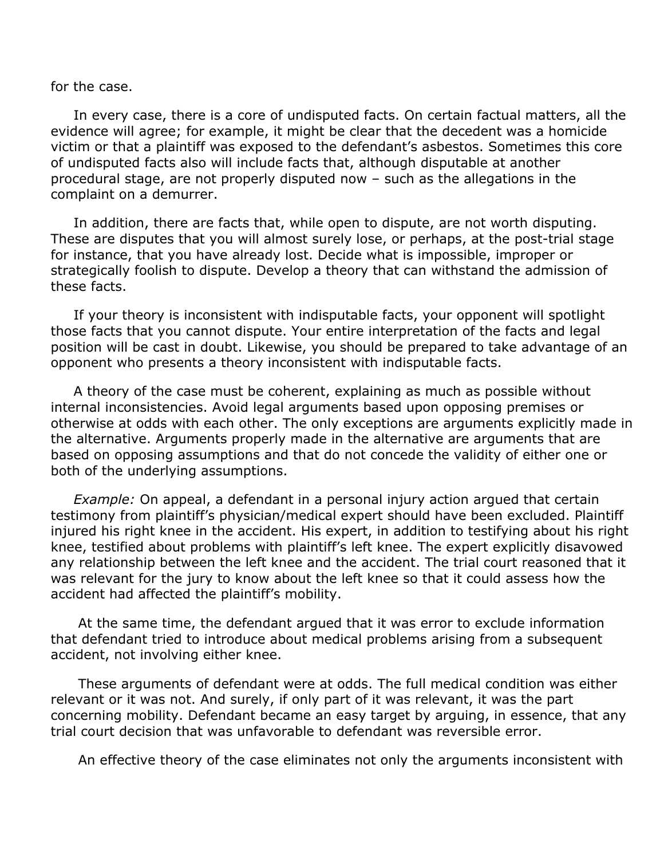for the case.

 In every case, there is a core of undisputed facts. On certain factual matters, all the evidence will agree; for example, it might be clear that the decedent was a homicide victim or that a plaintiff was exposed to the defendant's asbestos. Sometimes this core of undisputed facts also will include facts that, although disputable at another procedural stage, are not properly disputed now – such as the allegations in the complaint on a demurrer.

 In addition, there are facts that, while open to dispute, are not worth disputing. These are disputes that you will almost surely lose, or perhaps, at the post-trial stage for instance, that you have already lost. Decide what is impossible, improper or strategically foolish to dispute. Develop a theory that can withstand the admission of these facts.

 If your theory is inconsistent with indisputable facts, your opponent will spotlight those facts that you cannot dispute. Your entire interpretation of the facts and legal position will be cast in doubt. Likewise, you should be prepared to take advantage of an opponent who presents a theory inconsistent with indisputable facts.

 A theory of the case must be coherent, explaining as much as possible without internal inconsistencies. Avoid legal arguments based upon opposing premises or otherwise at odds with each other. The only exceptions are arguments explicitly made in the alternative. Arguments properly made in the alternative are arguments that are based on opposing assumptions and that do not concede the validity of either one or both of the underlying assumptions.

 *Example:* On appeal, a defendant in a personal injury action argued that certain testimony from plaintiff's physician/medical expert should have been excluded. Plaintiff injured his right knee in the accident. His expert, in addition to testifying about his right knee, testified about problems with plaintiff's left knee. The expert explicitly disavowed any relationship between the left knee and the accident. The trial court reasoned that it was relevant for the jury to know about the left knee so that it could assess how the accident had affected the plaintiff's mobility.

 At the same time, the defendant argued that it was error to exclude information that defendant tried to introduce about medical problems arising from a subsequent accident, not involving either knee.

 These arguments of defendant were at odds. The full medical condition was either relevant or it was not. And surely, if only part of it was relevant, it was the part concerning mobility. Defendant became an easy target by arguing, in essence, that any trial court decision that was unfavorable to defendant was reversible error.

An effective theory of the case eliminates not only the arguments inconsistent with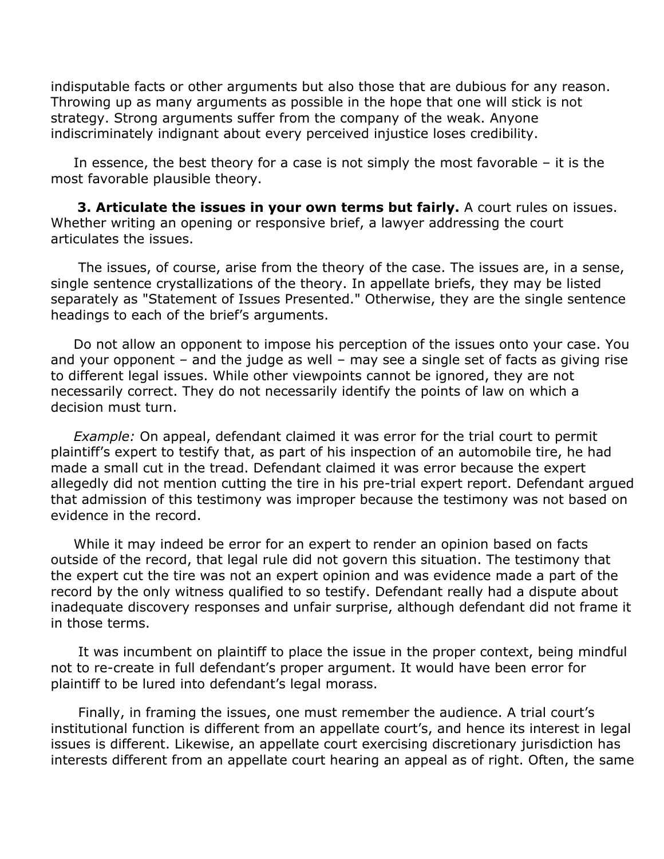indisputable facts or other arguments but also those that are dubious for any reason. Throwing up as many arguments as possible in the hope that one will stick is not strategy. Strong arguments suffer from the company of the weak. Anyone indiscriminately indignant about every perceived injustice loses credibility.

 In essence, the best theory for a case is not simply the most favorable – it is the most favorable plausible theory.

 **3. Articulate the issues in your own terms but fairly.** A court rules on issues. Whether writing an opening or responsive brief, a lawyer addressing the court articulates the issues.

 The issues, of course, arise from the theory of the case. The issues are, in a sense, single sentence crystallizations of the theory. In appellate briefs, they may be listed separately as "Statement of Issues Presented." Otherwise, they are the single sentence headings to each of the brief's arguments.

 Do not allow an opponent to impose his perception of the issues onto your case. You and your opponent – and the judge as well – may see a single set of facts as giving rise to different legal issues. While other viewpoints cannot be ignored, they are not necessarily correct. They do not necessarily identify the points of law on which a decision must turn.

 *Example:* On appeal, defendant claimed it was error for the trial court to permit plaintiff's expert to testify that, as part of his inspection of an automobile tire, he had made a small cut in the tread. Defendant claimed it was error because the expert allegedly did not mention cutting the tire in his pre-trial expert report. Defendant argued that admission of this testimony was improper because the testimony was not based on evidence in the record.

 While it may indeed be error for an expert to render an opinion based on facts outside of the record, that legal rule did not govern this situation. The testimony that the expert cut the tire was not an expert opinion and was evidence made a part of the record by the only witness qualified to so testify. Defendant really had a dispute about inadequate discovery responses and unfair surprise, although defendant did not frame it in those terms.

 It was incumbent on plaintiff to place the issue in the proper context, being mindful not to re-create in full defendant's proper argument. It would have been error for plaintiff to be lured into defendant's legal morass.

 Finally, in framing the issues, one must remember the audience. A trial court's institutional function is different from an appellate court's, and hence its interest in legal issues is different. Likewise, an appellate court exercising discretionary jurisdiction has interests different from an appellate court hearing an appeal as of right. Often, the same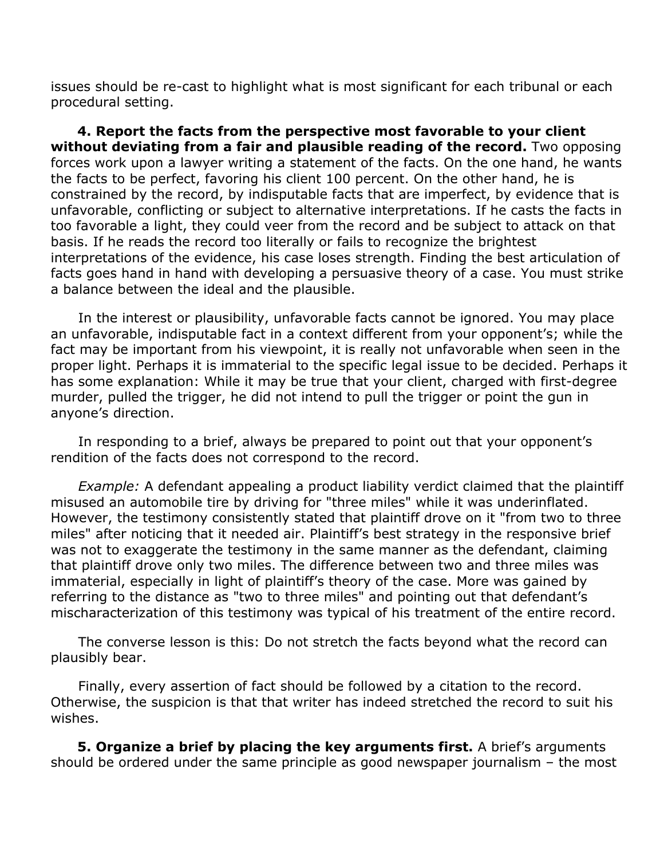issues should be re-cast to highlight what is most significant for each tribunal or each procedural setting.

 **4. Report the facts from the perspective most favorable to your client without deviating from a fair and plausible reading of the record.** Two opposing forces work upon a lawyer writing a statement of the facts. On the one hand, he wants the facts to be perfect, favoring his client 100 percent. On the other hand, he is constrained by the record, by indisputable facts that are imperfect, by evidence that is unfavorable, conflicting or subject to alternative interpretations. If he casts the facts in too favorable a light, they could veer from the record and be subject to attack on that basis. If he reads the record too literally or fails to recognize the brightest interpretations of the evidence, his case loses strength. Finding the best articulation of facts goes hand in hand with developing a persuasive theory of a case. You must strike a balance between the ideal and the plausible.

 In the interest or plausibility, unfavorable facts cannot be ignored. You may place an unfavorable, indisputable fact in a context different from your opponent's; while the fact may be important from his viewpoint, it is really not unfavorable when seen in the proper light. Perhaps it is immaterial to the specific legal issue to be decided. Perhaps it has some explanation: While it may be true that your client, charged with first-degree murder, pulled the trigger, he did not intend to pull the trigger or point the gun in anyone's direction.

 In responding to a brief, always be prepared to point out that your opponent's rendition of the facts does not correspond to the record.

*Example:* A defendant appealing a product liability verdict claimed that the plaintiff misused an automobile tire by driving for "three miles" while it was underinflated. However, the testimony consistently stated that plaintiff drove on it "from two to three miles" after noticing that it needed air. Plaintiff's best strategy in the responsive brief was not to exaggerate the testimony in the same manner as the defendant, claiming that plaintiff drove only two miles. The difference between two and three miles was immaterial, especially in light of plaintiff's theory of the case. More was gained by referring to the distance as "two to three miles" and pointing out that defendant's mischaracterization of this testimony was typical of his treatment of the entire record.

 The converse lesson is this: Do not stretch the facts beyond what the record can plausibly bear.

 Finally, every assertion of fact should be followed by a citation to the record. Otherwise, the suspicion is that that writer has indeed stretched the record to suit his wishes.

**5. Organize a brief by placing the key arguments first.** A brief's arguments should be ordered under the same principle as good newspaper journalism – the most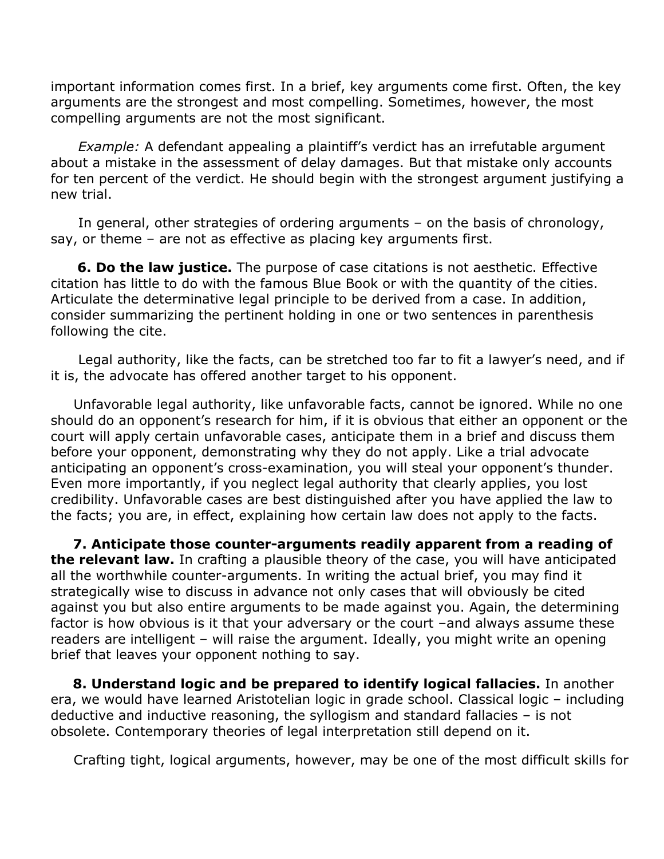important information comes first. In a brief, key arguments come first. Often, the key arguments are the strongest and most compelling. Sometimes, however, the most compelling arguments are not the most significant.

 *Example:* A defendant appealing a plaintiff's verdict has an irrefutable argument about a mistake in the assessment of delay damages. But that mistake only accounts for ten percent of the verdict. He should begin with the strongest argument justifying a new trial.

 In general, other strategies of ordering arguments – on the basis of chronology, say, or theme – are not as effective as placing key arguments first.

 **6. Do the law justice.** The purpose of case citations is not aesthetic. Effective citation has little to do with the famous Blue Book or with the quantity of the cities. Articulate the determinative legal principle to be derived from a case. In addition, consider summarizing the pertinent holding in one or two sentences in parenthesis following the cite.

 Legal authority, like the facts, can be stretched too far to fit a lawyer's need, and if it is, the advocate has offered another target to his opponent.

 Unfavorable legal authority, like unfavorable facts, cannot be ignored. While no one should do an opponent's research for him, if it is obvious that either an opponent or the court will apply certain unfavorable cases, anticipate them in a brief and discuss them before your opponent, demonstrating why they do not apply. Like a trial advocate anticipating an opponent's cross-examination, you will steal your opponent's thunder. Even more importantly, if you neglect legal authority that clearly applies, you lost credibility. Unfavorable cases are best distinguished after you have applied the law to the facts; you are, in effect, explaining how certain law does not apply to the facts.

 **7. Anticipate those counter-arguments readily apparent from a reading of the relevant law.** In crafting a plausible theory of the case, you will have anticipated all the worthwhile counter-arguments. In writing the actual brief, you may find it strategically wise to discuss in advance not only cases that will obviously be cited against you but also entire arguments to be made against you. Again, the determining factor is how obvious is it that your adversary or the court –and always assume these readers are intelligent – will raise the argument. Ideally, you might write an opening brief that leaves your opponent nothing to say.

 **8. Understand logic and be prepared to identify logical fallacies.** In another era, we would have learned Aristotelian logic in grade school. Classical logic – including deductive and inductive reasoning, the syllogism and standard fallacies – is not obsolete. Contemporary theories of legal interpretation still depend on it.

Crafting tight, logical arguments, however, may be one of the most difficult skills for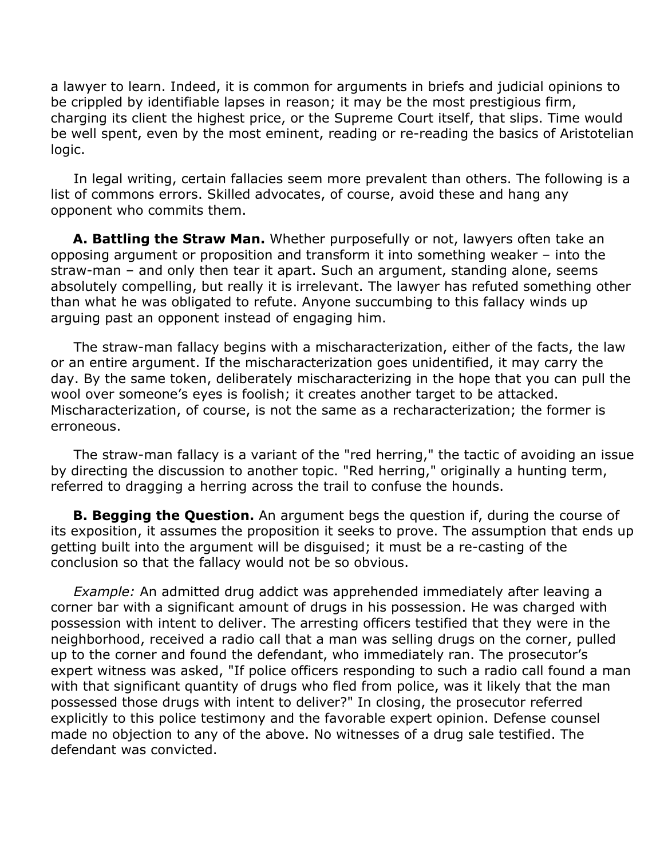a lawyer to learn. Indeed, it is common for arguments in briefs and judicial opinions to be crippled by identifiable lapses in reason; it may be the most prestigious firm, charging its client the highest price, or the Supreme Court itself, that slips. Time would be well spent, even by the most eminent, reading or re-reading the basics of Aristotelian logic.

 In legal writing, certain fallacies seem more prevalent than others. The following is a list of commons errors. Skilled advocates, of course, avoid these and hang any opponent who commits them.

 **A. Battling the Straw Man.** Whether purposefully or not, lawyers often take an opposing argument or proposition and transform it into something weaker – into the straw-man – and only then tear it apart. Such an argument, standing alone, seems absolutely compelling, but really it is irrelevant. The lawyer has refuted something other than what he was obligated to refute. Anyone succumbing to this fallacy winds up arguing past an opponent instead of engaging him.

 The straw-man fallacy begins with a mischaracterization, either of the facts, the law or an entire argument. If the mischaracterization goes unidentified, it may carry the day. By the same token, deliberately mischaracterizing in the hope that you can pull the wool over someone's eyes is foolish; it creates another target to be attacked. Mischaracterization, of course, is not the same as a recharacterization; the former is erroneous.

 The straw-man fallacy is a variant of the "red herring," the tactic of avoiding an issue by directing the discussion to another topic. "Red herring," originally a hunting term, referred to dragging a herring across the trail to confuse the hounds.

 **B. Begging the Question.** An argument begs the question if, during the course of its exposition, it assumes the proposition it seeks to prove. The assumption that ends up getting built into the argument will be disguised; it must be a re-casting of the conclusion so that the fallacy would not be so obvious.

 *Example:* An admitted drug addict was apprehended immediately after leaving a corner bar with a significant amount of drugs in his possession. He was charged with possession with intent to deliver. The arresting officers testified that they were in the neighborhood, received a radio call that a man was selling drugs on the corner, pulled up to the corner and found the defendant, who immediately ran. The prosecutor's expert witness was asked, "If police officers responding to such a radio call found a man with that significant quantity of drugs who fled from police, was it likely that the man possessed those drugs with intent to deliver?" In closing, the prosecutor referred explicitly to this police testimony and the favorable expert opinion. Defense counsel made no objection to any of the above. No witnesses of a drug sale testified. The defendant was convicted.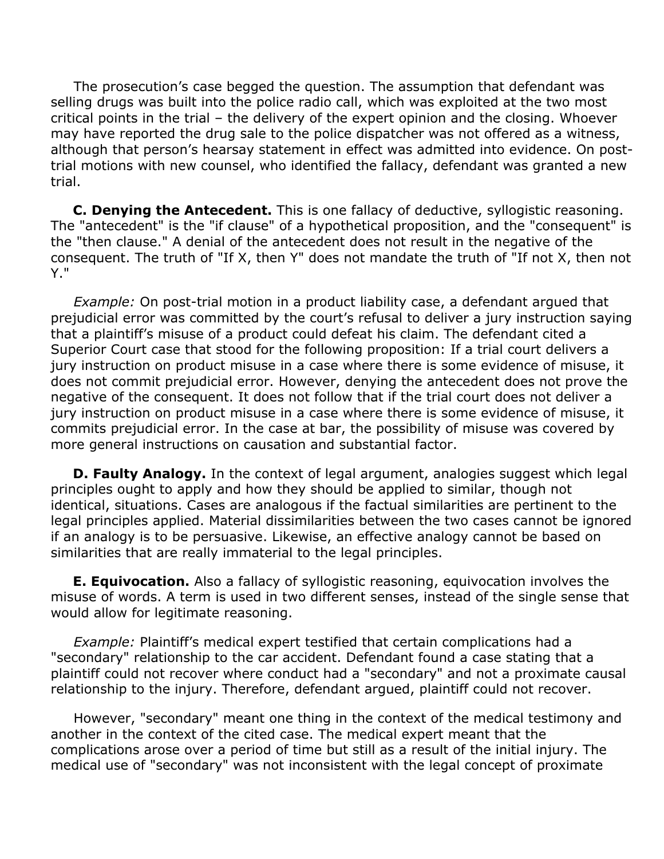The prosecution's case begged the question. The assumption that defendant was selling drugs was built into the police radio call, which was exploited at the two most critical points in the trial – the delivery of the expert opinion and the closing. Whoever may have reported the drug sale to the police dispatcher was not offered as a witness, although that person's hearsay statement in effect was admitted into evidence. On posttrial motions with new counsel, who identified the fallacy, defendant was granted a new trial.

 **C. Denying the Antecedent.** This is one fallacy of deductive, syllogistic reasoning. The "antecedent" is the "if clause" of a hypothetical proposition, and the "consequent" is the "then clause." A denial of the antecedent does not result in the negative of the consequent. The truth of "If X, then Y" does not mandate the truth of "If not X, then not Y."

 *Example:* On post-trial motion in a product liability case, a defendant argued that prejudicial error was committed by the court's refusal to deliver a jury instruction saying that a plaintiff's misuse of a product could defeat his claim. The defendant cited a Superior Court case that stood for the following proposition: If a trial court delivers a jury instruction on product misuse in a case where there is some evidence of misuse, it does not commit prejudicial error. However, denying the antecedent does not prove the negative of the consequent. It does not follow that if the trial court does not deliver a jury instruction on product misuse in a case where there is some evidence of misuse, it commits prejudicial error. In the case at bar, the possibility of misuse was covered by more general instructions on causation and substantial factor.

**D. Faulty Analogy.** In the context of legal argument, analogies suggest which legal principles ought to apply and how they should be applied to similar, though not identical, situations. Cases are analogous if the factual similarities are pertinent to the legal principles applied. Material dissimilarities between the two cases cannot be ignored if an analogy is to be persuasive. Likewise, an effective analogy cannot be based on similarities that are really immaterial to the legal principles.

 **E. Equivocation.** Also a fallacy of syllogistic reasoning, equivocation involves the misuse of words. A term is used in two different senses, instead of the single sense that would allow for legitimate reasoning.

 *Example:* Plaintiff's medical expert testified that certain complications had a "secondary" relationship to the car accident. Defendant found a case stating that a plaintiff could not recover where conduct had a "secondary" and not a proximate causal relationship to the injury. Therefore, defendant argued, plaintiff could not recover.

 However, "secondary" meant one thing in the context of the medical testimony and another in the context of the cited case. The medical expert meant that the complications arose over a period of time but still as a result of the initial injury. The medical use of "secondary" was not inconsistent with the legal concept of proximate